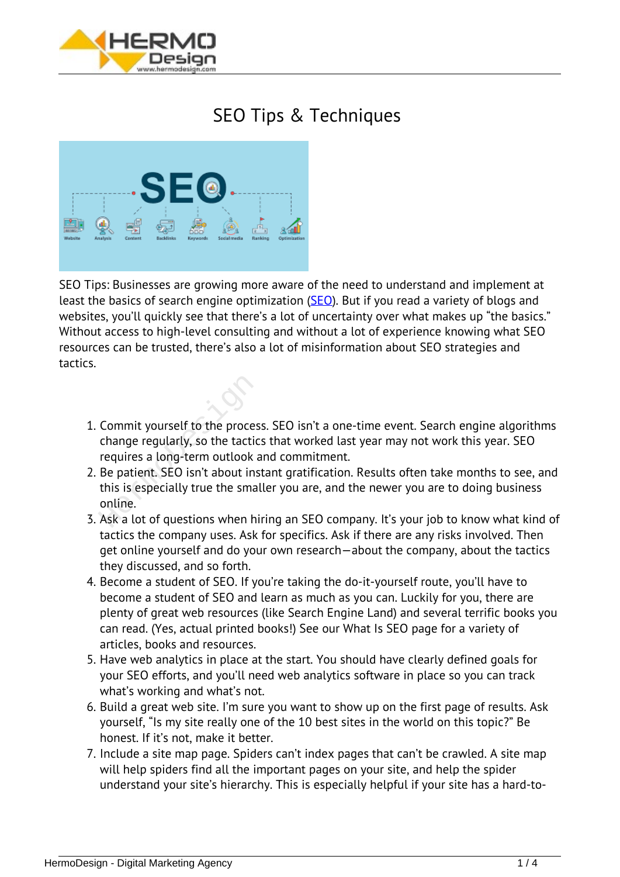

## *SEO Tips & Techniques*



*SEO Tips: Businesses are growing more aware of the need to understand and implement at least the basics of search engine optimization [\(SEO](https://hermodesign.com/what-is-seo-search-engine-optimization/)). But if you read a variety of blogs and websites, you'll quickly see that there's a lot of uncertainty over what makes up "the basics." Without access to high-level consulting and without a lot of experience knowing what SEO resources can be trusted, there's also a lot of misinformation about SEO strategies and tactics.*

- *1. Commit yourself to the process. SEO isn't a one-time event. Search engine algorithms change regularly, so the tactics that worked last year may not work this year. SEO requires a long-term outlook and commitment.* Commit yourself to the proces<br>change regularly, so the tactic<br>requires a long-term outlook a<br>Be patient. SEO isn't about ins<br>this is especially true the smal<br>online.<br>Ask a lot of questions when hi
- *2. Be patient. SEO isn't about instant gratification. Results often take months to see, and this is especially true the smaller you are, and the newer you are to doing business online.*
- *3. Ask a lot of questions when hiring an SEO company. It's your job to know what kind of tactics the company uses. Ask for specifics. Ask if there are any risks involved. Then get online yourself and do your own research—about the company, about the tactics they discussed, and so forth.*
- *4. Become a student of SEO. If you're taking the do-it-yourself route, you'll have to become a student of SEO and learn as much as you can. Luckily for you, there are plenty of great web resources (like Search Engine Land) and several terrific books you can read. (Yes, actual printed books!) See our What Is SEO page for a variety of articles, books and resources.*
- *5. Have web analytics in place at the start. You should have clearly defined goals for your SEO efforts, and you'll need web analytics software in place so you can track what's working and what's not.*
- *6. Build a great web site. I'm sure you want to show up on the first page of results. Ask yourself, "Is my site really one of the 10 best sites in the world on this topic?" Be honest. If it's not, make it better.*
- *7. Include a site map page. Spiders can't index pages that can't be crawled. A site map will help spiders find all the important pages on your site, and help the spider understand your site's hierarchy. This is especially helpful if your site has a hard-to-*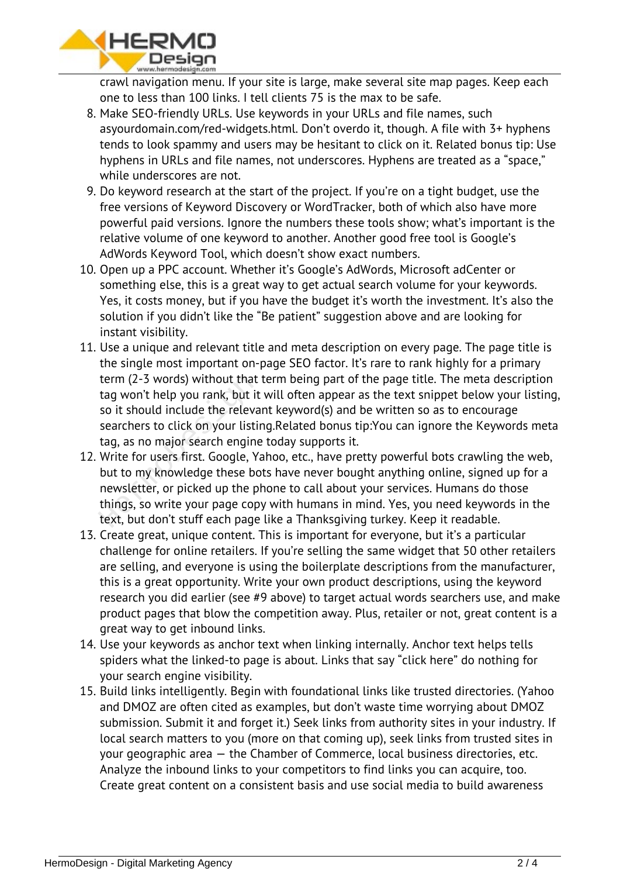

*crawl navigation menu. If your site is large, make several site map pages. Keep each one to less than 100 links. I tell clients 75 is the max to be safe.*

- *8. Make SEO-friendly URLs. Use keywords in your URLs and file names, such asyourdomain.com/red-widgets.html. Don't overdo it, though. A file with 3+ hyphens tends to look spammy and users may be hesitant to click on it. Related bonus tip: Use hyphens in URLs and file names, not underscores. Hyphens are treated as a "space," while underscores are not.*
- *9. Do keyword research at the start of the project. If you're on a tight budget, use the free versions of Keyword Discovery or WordTracker, both of which also have more powerful paid versions. Ignore the numbers these tools show; what's important is the relative volume of one keyword to another. Another good free tool is Google's AdWords Keyword Tool, which doesn't show exact numbers.*
- *10. Open up a PPC account. Whether it's Google's AdWords, Microsoft adCenter or something else, this is a great way to get actual search volume for your keywords. Yes, it costs money, but if you have the budget it's worth the investment. It's also the solution if you didn't like the "Be patient" suggestion above and are looking for instant visibility.*
- *11. Use a unique and relevant title and meta description on every page. The page title is the single most important on-page SEO factor. It's rare to rank highly for a primary term (2-3 words) without that term being part of the page title. The meta description tag won't help you rank, but it will often appear as the text snippet below your listing, so it should include the relevant keyword(s) and be written so as to encourage searchers to click on your listing.Related bonus tip:You can ignore the Keywords meta tag, as no major search engine today supports it.*
- *12. Write for users first. Google, Yahoo, etc., have pretty powerful bots crawling the web, but to my knowledge these bots have never bought anything online, signed up for a newsletter, or picked up the phone to call about your services. Humans do those things, so write your page copy with humans in mind. Yes, you need keywords in the text, but don't stuff each page like a Thanksgiving turkey. Keep it readable.* term (2-3 words) without that<br>tag won't help you rank, but it<br>so it should include the releva<br>searchers to click on your listir<br>tag, as no major search engine<br>Write for users first. Google, Ya<br>but to my knowledge these bo<br>
- *13. Create great, unique content. This is important for everyone, but it's a particular challenge for online retailers. If you're selling the same widget that 50 other retailers are selling, and everyone is using the boilerplate descriptions from the manufacturer, this is a great opportunity. Write your own product descriptions, using the keyword research you did earlier (see #9 above) to target actual words searchers use, and make product pages that blow the competition away. Plus, retailer or not, great content is a great way to get inbound links.*
- *14. Use your keywords as anchor text when linking internally. Anchor text helps tells spiders what the linked-to page is about. Links that say "click here" do nothing for your search engine visibility.*
- *15. Build links intelligently. Begin with foundational links like trusted directories. (Yahoo and DMOZ are often cited as examples, but don't waste time worrying about DMOZ submission. Submit it and forget it.) Seek links from authority sites in your industry. If local search matters to you (more on that coming up), seek links from trusted sites in your geographic area — the Chamber of Commerce, local business directories, etc. Analyze the inbound links to your competitors to find links you can acquire, too. Create great content on a consistent basis and use social media to build awareness*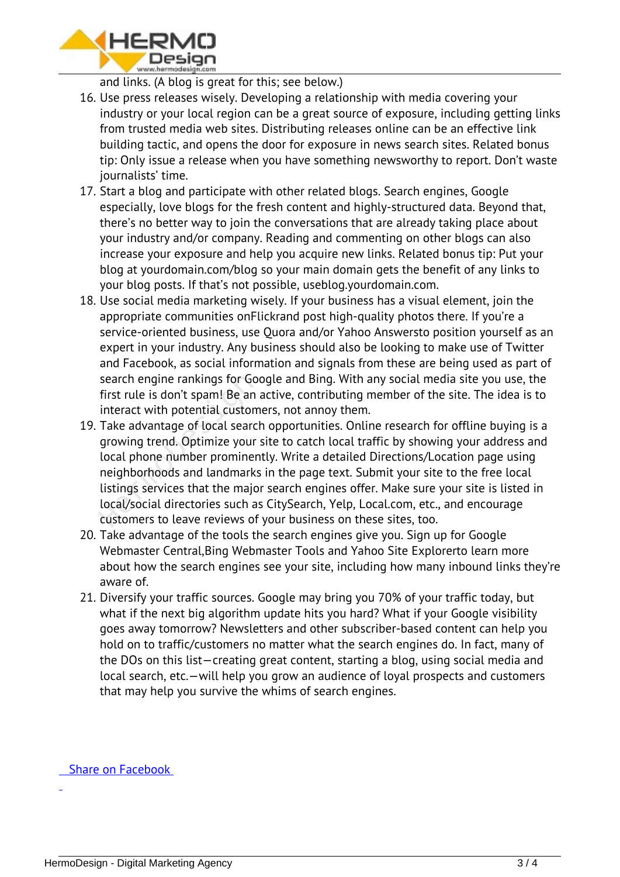

*and links. (A blog is great for this; see below.)*

- *16. Use press releases wisely. Developing a relationship with media covering your industry or your local region can be a great source of exposure, including getting links from trusted media web sites. Distributing releases online can be an effective link building tactic, and opens the door for exposure in news search sites. Related bonus tip: Only issue a release when you have something newsworthy to report. Don't waste journalists' time.*
- *17. Start a blog and participate with other related blogs. Search engines, Google especially, love blogs for the fresh content and highly-structured data. Beyond that, there's no better way to join the conversations that are already taking place about your industry and/or company. Reading and commenting on other blogs can also increase your exposure and help you acquire new links. Related bonus tip: Put your blog at yourdomain.com/blog so your main domain gets the benefit of any links to your blog posts. If that's not possible, useblog.yourdomain.com.*
- *18. Use social media marketing wisely. If your business has a visual element, join the appropriate communities onFlickrand post high-quality photos there. If you're a service-oriented business, use Quora and/or Yahoo Answersto position yourself as an expert in your industry. Any business should also be looking to make use of Twitter and Facebook, as social information and signals from these are being used as part of search engine rankings for Google and Bing. With any social media site you use, the first rule is don't spam! Be an active, contributing member of the site. The idea is to interact with potential customers, not annoy them.*
- *19. Take advantage of local search opportunities. Online research for offline buying is a growing trend. Optimize your site to catch local traffic by showing your address and local phone number prominently. Write a detailed Directions/Location page using neighborhoods and landmarks in the page text. Submit your site to the free local listings services that the major search engines offer. Make sure your site is listed in local/social directories such as CitySearch, Yelp, Local.com, etc., and encourage customers to leave reviews of your business on these sites, too.* search engine rankings for Goofirst rule is don't spam! Be an a<br>interact with potential custom<br>Take advantage of local search<br>growing trend. Optimize your :<br>local phone number prominen<br>neighborhoods and landmarks<br>listings
- *20. Take advantage of the tools the search engines give you. Sign up for Google Webmaster Central,Bing Webmaster Tools and Yahoo Site Explorerto learn more about how the search engines see your site, including how many inbound links they're aware of.*
- *21. Diversify your traffic sources. Google may bring you 70% of your traffic today, but what if the next big algorithm update hits you hard? What if your Google visibility goes away tomorrow? Newsletters and other subscriber-based content can help you hold on to traffic/customers no matter what the search engines do. In fact, many of the DOs on this list—creating great content, starting a blog, using social media and local search, etc.—will help you grow an audience of loyal prospects and customers that may help you survive the whims of search engines.*

 *Share on Facebook*